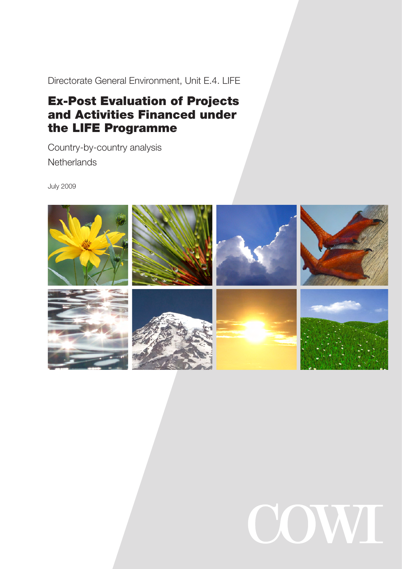Directorate General Environment, Unit E.4. LIFE

# Ex-Post Evaluation of Projects and Activities Financed under the LIFE Programme

Country-by-country analysis **Netherlands** 

July 2009



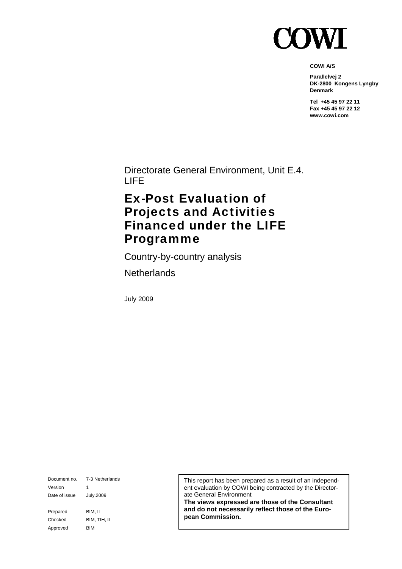

**COWI A/S** 

**Parallelvej 2 DK-2800 Kongens Lyngby Denmark** 

**Tel +45 45 97 22 11 Fax +45 45 97 22 12 www.cowi.com** 

Directorate General Environment, Unit E.4. LIFE

## Ex-Post Evaluation of Projects and Activities Financed under the LIFE Programme

Country-by-country analysis

**Netherlands** 

July 2009

Document no. 7-3 Netherlands Version 1 Date of issue July.2009 Prepared BIM, IL Checked BIM, TIH, IL Approved BIM

This report has been prepared as a result of an independent evaluation by COWI being contracted by the Directorate General Environment

**The views expressed are those of the Consultant and do not necessarily reflect those of the European Commission.**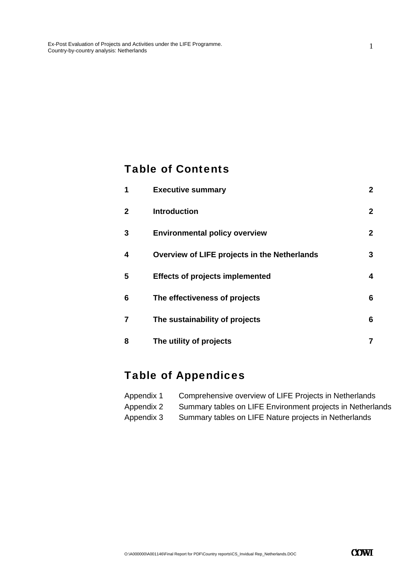### Table of Contents

| 1            | <b>Executive summary</b>                     | $\mathbf{2}$ |
|--------------|----------------------------------------------|--------------|
| $\mathbf{2}$ | <b>Introduction</b>                          | $\mathbf{2}$ |
| 3            | <b>Environmental policy overview</b>         | $\mathbf{2}$ |
| 4            | Overview of LIFE projects in the Netherlands | 3            |
| 5            | <b>Effects of projects implemented</b>       | 4            |
| 6            | The effectiveness of projects                | 6            |
| 7            | The sustainability of projects               | 6            |
| 8            | The utility of projects                      | 7            |

## Table of Appendices

| Appendix 1 | Comprehensive overview of LIFE Projects in Netherlands     |
|------------|------------------------------------------------------------|
| Appendix 2 | Summary tables on LIFE Environment projects in Netherlands |
| Appendix 3 | Summary tables on LIFE Nature projects in Netherlands      |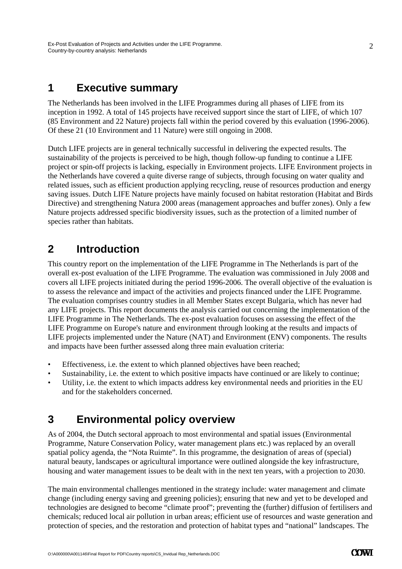### **1 Executive summary**

The Netherlands has been involved in the LIFE Programmes during all phases of LIFE from its inception in 1992. A total of 145 projects have received support since the start of LIFE, of which 107 (85 Environment and 22 Nature) projects fall within the period covered by this evaluation (1996-2006). Of these 21 (10 Environment and 11 Nature) were still ongoing in 2008.

Dutch LIFE projects are in general technically successful in delivering the expected results. The sustainability of the projects is perceived to be high, though follow-up funding to continue a LIFE project or spin-off projects is lacking, especially in Environment projects. LIFE Environment projects in the Netherlands have covered a quite diverse range of subjects, through focusing on water quality and related issues, such as efficient production applying recycling, reuse of resources production and energy saving issues. Dutch LIFE Nature projects have mainly focused on habitat restoration (Habitat and Birds Directive) and strengthening Natura 2000 areas (management approaches and buffer zones). Only a few Nature projects addressed specific biodiversity issues, such as the protection of a limited number of species rather than habitats.

## **2 Introduction**

This country report on the implementation of the LIFE Programme in The Netherlands is part of the overall ex-post evaluation of the LIFE Programme. The evaluation was commissioned in July 2008 and covers all LIFE projects initiated during the period 1996-2006. The overall objective of the evaluation is to assess the relevance and impact of the activities and projects financed under the LIFE Programme. The evaluation comprises country studies in all Member States except Bulgaria, which has never had any LIFE projects. This report documents the analysis carried out concerning the implementation of the LIFE Programme in The Netherlands. The ex-post evaluation focuses on assessing the effect of the LIFE Programme on Europe's nature and environment through looking at the results and impacts of LIFE projects implemented under the Nature (NAT) and Environment (ENV) components. The results and impacts have been further assessed along three main evaluation criteria:

- Effectiveness, i.e. the extent to which planned objectives have been reached;
- Sustainability, i.e. the extent to which positive impacts have continued or are likely to continue;
- Utility, i.e. the extent to which impacts address key environmental needs and priorities in the EU and for the stakeholders concerned.

### **3 Environmental policy overview**

As of 2004, the Dutch sectoral approach to most environmental and spatial issues (Environmental Programme, Nature Conservation Policy, water management plans etc.) was replaced by an overall spatial policy agenda, the "Nota Ruimte". In this programme, the designation of areas of (special) natural beauty, landscapes or agricultural importance were outlined alongside the key infrastructure, housing and water management issues to be dealt with in the next ten years, with a projection to 2030.

The main environmental challenges mentioned in the strategy include: water management and climate change (including energy saving and greening policies); ensuring that new and yet to be developed and technologies are designed to become "climate proof"; preventing the (further) diffusion of fertilisers and chemicals; reduced local air pollution in urban areas; efficient use of resources and waste generation and protection of species, and the restoration and protection of habitat types and "national" landscapes. The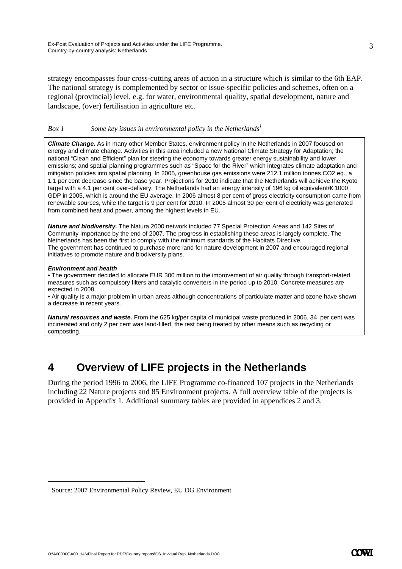strategy encompasses four cross-cutting areas of action in a structure which is similar to the 6th EAP. The national strategy is complemented by sector or issue-specific policies and schemes, often on a regional (provincial) level, e.g. for water, environmental quality, spatial development, nature and landscape, (over) fertilisation in agriculture etc.

### *Box 1* Some key issues in environmental policy in the Netherlands<sup>1</sup>

*Climate Change.* As in many other Member States, environment policy in the Netherlands in 2007 focused on energy and climate change. Activities in this area included a new National Climate Strategy for Adaptation; the national "Clean and Efficient" plan for steering the economy towards greater energy sustainability and lower emissions; and spatial planning programmes such as "Space for the River" which integrates climate adaptation and mitigation policies into spatial planning. In 2005, greenhouse gas emissions were 212.1 million tonnes CO2 eq., a 1.1 per cent decrease since the base year. Projections for 2010 indicate that the Netherlands will achieve the Kyoto target with a 4.1 per cent over-delivery. The Netherlands had an energy intensity of 196 kg oil equivalent/€ 1000 GDP in 2005, which is around the EU average. In 2006 almost 8 per cent of gross electricity consumption came from renewable sources, while the target is 9 per cent for 2010. In 2005 almost 30 per cent of electricity was generated from combined heat and power, among the highest levels in EU.

*Nature and biodiversity.* The Natura 2000 network included 77 Special Protection Areas and 142 Sites of Community Importance by the end of 2007. The progress in establishing these areas is largely complete. The Netherlands has been the first to comply with the minimum standards of the Habitats Directive. The government has continued to purchase more land for nature development in 2007 and encouraged regional initiatives to promote nature and biodiversity plans.

### *Environment and health*

-

• The government decided to allocate EUR 300 million to the improvement of air quality through transport-related measures such as compulsory filters and catalytic converters in the period up to 2010. Concrete measures are expected in 2008.

• Air quality is a major problem in urban areas although concentrations of particulate matter and ozone have shown a decrease in recent years.

*Natural resources and waste.* From the 625 kg/per capita of municipal waste produced in 2006, 34 per cent was incinerated and only 2 per cent was land-filled, the rest being treated by other means such as recycling or composting.

### **4 Overview of LIFE projects in the Netherlands**

During the period 1996 to 2006, the LIFE Programme co-financed 107 projects in the Netherlands including 22 Nature projects and 85 Environment projects. A full overview table of the projects is provided in Appendix 1. Additional summary tables are provided in appendices 2 and 3.

<sup>&</sup>lt;sup>1</sup> Source: 2007 Environmental Policy Review, EU DG Environment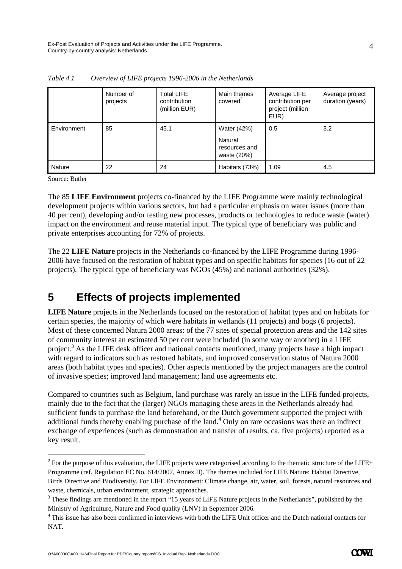|               | Number of<br>projects | <b>Total LIFE</b><br>contribution<br>(million EUR) | Main themes<br>covered <sup>2</sup>                    | Average LIFE<br>contribution per<br>project (million<br>EUR) | Average project<br>duration (years) |
|---------------|-----------------------|----------------------------------------------------|--------------------------------------------------------|--------------------------------------------------------------|-------------------------------------|
| Environment   | 85                    | 45.1                                               | Water (42%)<br>Natural<br>resources and<br>waste (20%) | 0.5                                                          | 3.2                                 |
| <b>Nature</b> | 22                    | 24                                                 | Habitats (73%)                                         | 1.09                                                         | 4.5                                 |

*Table 4.1 Overview of LIFE projects 1996-2006 in the Netherlands* 

Source: Butler

-

The 85 **LIFE Environment** projects co-financed by the LIFE Programme were mainly technological development projects within various sectors, but had a particular emphasis on water issues (more than 40 per cent), developing and/or testing new processes, products or technologies to reduce waste (water) impact on the environment and reuse material input. The typical type of beneficiary was public and private enterprises accounting for 72% of projects.

The 22 **LIFE Nature** projects in the Netherlands co-financed by the LIFE Programme during 1996- 2006 have focused on the restoration of habitat types and on specific habitats for species (16 out of 22 projects). The typical type of beneficiary was NGOs (45%) and national authorities (32%).

## **5 Effects of projects implemented**

**LIFE Nature** projects in the Netherlands focused on the restoration of habitat types and on habitats for certain species, the majority of which were habitats in wetlands (11 projects) and bogs (6 projects). Most of these concerned Natura 2000 areas: of the 77 sites of special protection areas and the 142 sites of community interest an estimated 50 per cent were included (in some way or another) in a LIFE project.<sup>3</sup> As the LIFE desk officer and national contacts mentioned, many projects have a high impact with regard to indicators such as restored habitats, and improved conservation status of Natura 2000 areas (both habitat types and species). Other aspects mentioned by the project managers are the control of invasive species; improved land management; land use agreements etc.

Compared to countries such as Belgium, land purchase was rarely an issue in the LIFE funded projects, mainly due to the fact that the (larger) NGOs managing these areas in the Netherlands already had sufficient funds to purchase the land beforehand, or the Dutch government supported the project with additional funds thereby enabling purchase of the land.<sup>4</sup> Only on rare occasions was there an indirect exchange of experiences (such as demonstration and transfer of results, ca. five projects) reported as a key result.

 $2^2$  For the purpose of this evaluation, the LIFE projects were categorised according to the thematic structure of the LIFE+ Programme (ref. Regulation EC No. 614/2007, Annex II). The themes included for LIFE Nature: Habitat Directive, Birds Directive and Biodiversity. For LIFE Environment: Climate change, air, water, soil, forests, natural resources and waste, chemicals, urban environment, strategic approaches.

 $3$  These findings are mentioned in the report "15 years of LIFE Nature projects in the Netherlands", published by the Ministry of Agriculture, Nature and Food quality (LNV) in September 2006.

<sup>&</sup>lt;sup>4</sup> This issue has also been confirmed in interviews with both the LIFE Unit officer and the Dutch national contacts for NAT.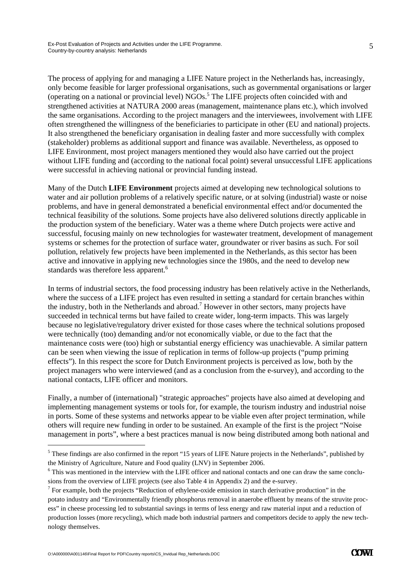The process of applying for and managing a LIFE Nature project in the Netherlands has, increasingly, only become feasible for larger professional organisations, such as governmental organisations or larger (operating on a national or provincial level) NGOs.<sup>5</sup> The LIFE projects often coincided with and strengthened activities at NATURA 2000 areas (management, maintenance plans etc.), which involved the same organisations. According to the project managers and the interviewees, involvement with LIFE often strengthened the willingness of the beneficiaries to participate in other (EU and national) projects. It also strengthened the beneficiary organisation in dealing faster and more successfully with complex (stakeholder) problems as additional support and finance was available. Nevertheless, as opposed to LIFE Environment, most project managers mentioned they would also have carried out the project without LIFE funding and (according to the national focal point) several unsuccessful LIFE applications were successful in achieving national or provincial funding instead.

Many of the Dutch **LIFE Environment** projects aimed at developing new technological solutions to water and air pollution problems of a relatively specific nature, or at solving (industrial) waste or noise problems, and have in general demonstrated a beneficial environmental effect and/or documented the technical feasibility of the solutions. Some projects have also delivered solutions directly applicable in the production system of the beneficiary. Water was a theme where Dutch projects were active and successful, focusing mainly on new technologies for wastewater treatment, development of management systems or schemes for the protection of surface water, groundwater or river basins as such. For soil pollution, relatively few projects have been implemented in the Netherlands, as this sector has been active and innovative in applying new technologies since the 1980s, and the need to develop new standards was therefore less apparent.<sup>6</sup>

In terms of industrial sectors, the food processing industry has been relatively active in the Netherlands, where the success of a LIFE project has even resulted in setting a standard for certain branches within the industry, both in the Netherlands and abroad.<sup>7</sup> However in other sectors, many projects have succeeded in technical terms but have failed to create wider, long-term impacts. This was largely because no legislative/regulatory driver existed for those cases where the technical solutions proposed were technically (too) demanding and/or not economically viable, or due to the fact that the maintenance costs were (too) high or substantial energy efficiency was unachievable. A similar pattern can be seen when viewing the issue of replication in terms of follow-up projects ("pump priming effects"). In this respect the score for Dutch Environment projects is perceived as low, both by the project managers who were interviewed (and as a conclusion from the e-survey), and according to the national contacts, LIFE officer and monitors.

Finally, a number of (international) "strategic approaches" projects have also aimed at developing and implementing management systems or tools for, for example, the tourism industry and industrial noise in ports. Some of these systems and networks appear to be viable even after project termination, while others will require new funding in order to be sustained. An example of the first is the project "Noise management in ports", where a best practices manual is now being distributed among both national and

-

 $<sup>5</sup>$  These findings are also confirmed in the report "15 years of LIFE Nature projects in the Netherlands", published by</sup> the Ministry of Agriculture, Nature and Food quality (LNV) in September 2006.

<sup>&</sup>lt;sup>6</sup> This was mentioned in the interview with the LIFE officer and national contacts and one can draw the same conclusions from the overview of LIFE projects (see also Table 4 in Appendix 2) and the e-survey.

 $<sup>7</sup>$  For example, both the projects "Reduction of ethylene-oxide emission in starch derivative production" in the</sup> potato industry and "Environmentally friendly phosphorus removal in anaerobe effluent by means of the struvite process" in cheese processing led to substantial savings in terms of less energy and raw material input and a reduction of production losses (more recycling), which made both industrial partners and competitors decide to apply the new technology themselves.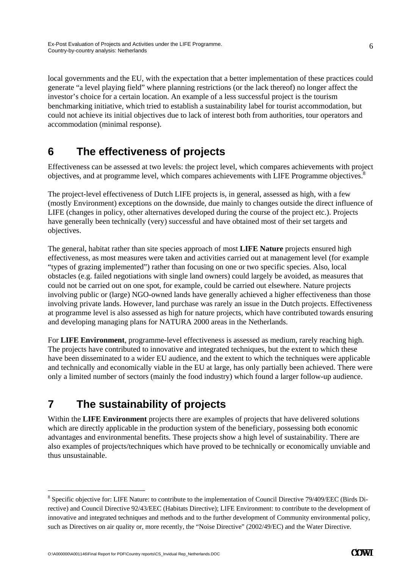local governments and the EU, with the expectation that a better implementation of these practices could generate "a level playing field" where planning restrictions (or the lack thereof) no longer affect the investor's choice for a certain location. An example of a less successful project is the tourism benchmarking initiative, which tried to establish a sustainability label for tourist accommodation, but could not achieve its initial objectives due to lack of interest both from authorities, tour operators and accommodation (minimal response).

## **6 The effectiveness of projects**

Effectiveness can be assessed at two levels: the project level, which compares achievements with project objectives, and at programme level, which compares achievements with LIFE Programme objectives.8

The project-level effectiveness of Dutch LIFE projects is, in general, assessed as high, with a few (mostly Environment) exceptions on the downside, due mainly to changes outside the direct influence of LIFE (changes in policy, other alternatives developed during the course of the project etc.). Projects have generally been technically (very) successful and have obtained most of their set targets and objectives.

The general, habitat rather than site species approach of most **LIFE Nature** projects ensured high effectiveness, as most measures were taken and activities carried out at management level (for example "types of grazing implemented") rather than focusing on one or two specific species. Also, local obstacles (e.g. failed negotiations with single land owners) could largely be avoided, as measures that could not be carried out on one spot, for example, could be carried out elsewhere. Nature projects involving public or (large) NGO-owned lands have generally achieved a higher effectiveness than those involving private lands. However, land purchase was rarely an issue in the Dutch projects. Effectiveness at programme level is also assessed as high for nature projects, which have contributed towards ensuring and developing managing plans for NATURA 2000 areas in the Netherlands.

For **LIFE Environment**, programme-level effectiveness is assessed as medium, rarely reaching high. The projects have contributed to innovative and integrated techniques, but the extent to which these have been disseminated to a wider EU audience, and the extent to which the techniques were applicable and technically and economically viable in the EU at large, has only partially been achieved. There were only a limited number of sectors (mainly the food industry) which found a larger follow-up audience.

# **7 The sustainability of projects**

Within the **LIFE Environment** projects there are examples of projects that have delivered solutions which are directly applicable in the production system of the beneficiary, possessing both economic advantages and environmental benefits. These projects show a high level of sustainability. There are also examples of projects/techniques which have proved to be technically or economically unviable and thus unsustainable.

-

<sup>&</sup>lt;sup>8</sup> Specific objective for: LIFE Nature: to contribute to the implementation of Council Directive 79/409/EEC (Birds Directive) and Council Directive 92/43/EEC (Habitats Directive); LIFE Environment: to contribute to the development of innovative and integrated techniques and methods and to the further development of Community environmental policy, such as Directives on air quality or, more recently, the "Noise Directive" (2002/49/EC) and the Water Directive.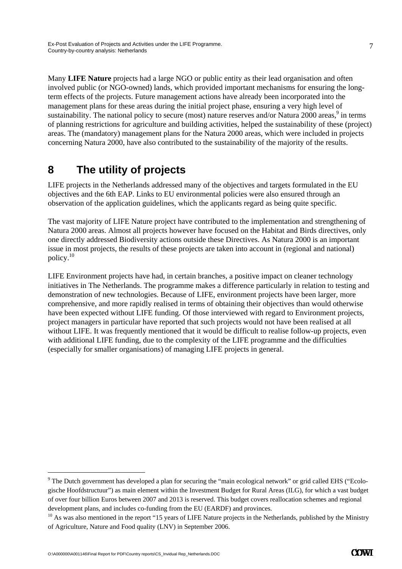Many **LIFE Nature** projects had a large NGO or public entity as their lead organisation and often involved public (or NGO-owned) lands, which provided important mechanisms for ensuring the longterm effects of the projects. Future management actions have already been incorporated into the management plans for these areas during the initial project phase, ensuring a very high level of sustainability. The national policy to secure (most) nature reserves and/or Natura 2000 areas,<sup>9</sup> in terms of planning restrictions for agriculture and building activities, helped the sustainability of these (project) areas. The (mandatory) management plans for the Natura 2000 areas, which were included in projects concerning Natura 2000, have also contributed to the sustainability of the majority of the results.

## **8 The utility of projects**

LIFE projects in the Netherlands addressed many of the objectives and targets formulated in the EU objectives and the 6th EAP. Links to EU environmental policies were also ensured through an observation of the application guidelines, which the applicants regard as being quite specific.

The vast majority of LIFE Nature project have contributed to the implementation and strengthening of Natura 2000 areas. Almost all projects however have focused on the Habitat and Birds directives, only one directly addressed Biodiversity actions outside these Directives. As Natura 2000 is an important issue in most projects, the results of these projects are taken into account in (regional and national) policy.10

LIFE Environment projects have had, in certain branches, a positive impact on cleaner technology initiatives in The Netherlands. The programme makes a difference particularly in relation to testing and demonstration of new technologies. Because of LIFE, environment projects have been larger, more comprehensive, and more rapidly realised in terms of obtaining their objectives than would otherwise have been expected without LIFE funding. Of those interviewed with regard to Environment projects, project managers in particular have reported that such projects would not have been realised at all without LIFE. It was frequently mentioned that it would be difficult to realise follow-up projects, even with additional LIFE funding, due to the complexity of the LIFE programme and the difficulties (especially for smaller organisations) of managing LIFE projects in general.

-

<sup>&</sup>lt;sup>9</sup> The Dutch government has developed a plan for securing the "main ecological network" or grid called EHS ("Ecologische Hoofdstructuur") as main element within the Investment Budget for Rural Areas (ILG), for which a vast budget of over four billion Euros between 2007 and 2013 is reserved. This budget covers reallocation schemes and regional development plans, and includes co-funding from the EU (EARDF) and provinces.

 $10$  As was also mentioned in the report "15 years of LIFE Nature projects in the Netherlands, published by the Ministry of Agriculture, Nature and Food quality (LNV) in September 2006.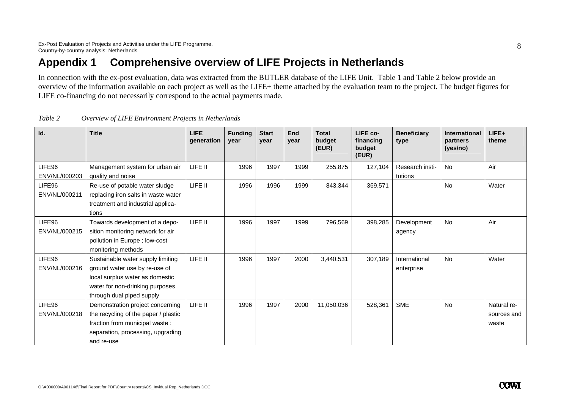## **Appendix 1 Comprehensive overview of LIFE Projects in Netherlands**

In connection with the ex-post evaluation, data was extracted from the BUTLER database of the LIFE Unit. Table 1 and Table 2 below provide an overview of the information available on each project as well as the LIFE+ theme attached by the evaluation team to the project. The budget figures for LIFE co-financing do not necessarily correspond to the actual payments made.

| Id.           | <b>Title</b>                         | <b>LIFE</b><br>generation | <b>Funding</b><br>vear | <b>Start</b><br>year | End<br>year | <b>Total</b><br>budget<br>(EUR) | LIFE co-<br>financing<br>budget<br>(EUR) | <b>Beneficiary</b><br>type | <b>International</b><br>partners<br>(yes/no) | LIFE+<br>theme |
|---------------|--------------------------------------|---------------------------|------------------------|----------------------|-------------|---------------------------------|------------------------------------------|----------------------------|----------------------------------------------|----------------|
| LIFE96        | Management system for urban air      | LIFE II                   | 1996                   | 1997                 | 1999        | 255,875                         | 127,104                                  | Research insti-            | No                                           | Air            |
| ENV/NL/000203 | quality and noise                    |                           |                        |                      |             |                                 |                                          | tutions                    |                                              |                |
| LIFE96        | Re-use of potable water sludge       | LIFE II                   | 1996                   | 1996                 | 1999        | 843,344                         | 369,571                                  |                            | <b>No</b>                                    | Water          |
| ENV/NL/000211 | replacing iron salts in waste water  |                           |                        |                      |             |                                 |                                          |                            |                                              |                |
|               | treatment and industrial applica-    |                           |                        |                      |             |                                 |                                          |                            |                                              |                |
|               | tions                                |                           |                        |                      |             |                                 |                                          |                            |                                              |                |
| LIFE96        | Towards development of a depo-       | LIFE II                   | 1996                   | 1997                 | 1999        | 796,569                         | 398,285                                  | Development                | No                                           | Air            |
| ENV/NL/000215 | sition monitoring network for air    |                           |                        |                      |             |                                 |                                          | agency                     |                                              |                |
|               | pollution in Europe; low-cost        |                           |                        |                      |             |                                 |                                          |                            |                                              |                |
|               | monitoring methods                   |                           |                        |                      |             |                                 |                                          |                            |                                              |                |
| LIFE96        | Sustainable water supply limiting    | LIFE II                   | 1996                   | 1997                 | 2000        | 3,440,531                       | 307,189                                  | International              | <b>No</b>                                    | Water          |
| ENV/NL/000216 | ground water use by re-use of        |                           |                        |                      |             |                                 |                                          | enterprise                 |                                              |                |
|               | local surplus water as domestic      |                           |                        |                      |             |                                 |                                          |                            |                                              |                |
|               | water for non-drinking purposes      |                           |                        |                      |             |                                 |                                          |                            |                                              |                |
|               | through dual piped supply            |                           |                        |                      |             |                                 |                                          |                            |                                              |                |
| LIFE96        | Demonstration project concerning     | LIFE II                   | 1996                   | 1997                 | 2000        | 11,050,036                      | 528,361                                  | <b>SME</b>                 | <b>No</b>                                    | Natural re-    |
| ENV/NL/000218 | the recycling of the paper / plastic |                           |                        |                      |             |                                 |                                          |                            |                                              | sources and    |
|               | fraction from municipal waste:       |                           |                        |                      |             |                                 |                                          |                            |                                              | waste          |
|               | separation, processing, upgrading    |                           |                        |                      |             |                                 |                                          |                            |                                              |                |
|               | and re-use                           |                           |                        |                      |             |                                 |                                          |                            |                                              |                |

*Table 2 Overview of LIFE Environment Projects in Netherlands*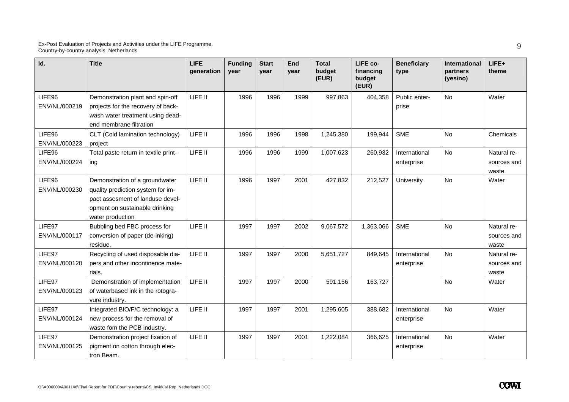| Id.                     | <b>Title</b>                                                                                                                                                  | LIFE<br>generation | <b>Funding</b><br>vear | <b>Start</b><br>vear | End<br>year | <b>Total</b><br>budget<br>(EUR) | LIFE co-<br>financing<br>budget<br>(EUR) | <b>Beneficiary</b><br>type  | International<br>partners<br>(yes/no) | $LIFE+$<br>theme                    |
|-------------------------|---------------------------------------------------------------------------------------------------------------------------------------------------------------|--------------------|------------------------|----------------------|-------------|---------------------------------|------------------------------------------|-----------------------------|---------------------------------------|-------------------------------------|
| LIFE96<br>ENV/NL/000219 | Demonstration plant and spin-off<br>projects for the recovery of back-<br>wash water treatment using dead-<br>end membrane filtration                         | LIFE II            | 1996                   | 1996                 | 1999        | 997,863                         | 404,358                                  | Public enter-<br>prise      | <b>No</b>                             | Water                               |
| LIFE96<br>ENV/NL/000223 | CLT (Cold lamination technology)<br>project                                                                                                                   | LIFE II            | 1996                   | 1996                 | 1998        | 1,245,380                       | 199,944                                  | <b>SME</b>                  | <b>No</b>                             | Chemicals                           |
| LIFE96<br>ENV/NL/000224 | Total paste return in textile print-<br>ing                                                                                                                   | LIFE II            | 1996                   | 1996                 | 1999        | 1,007,623                       | 260,932                                  | International<br>enterprise | No                                    | Natural re-<br>sources and<br>waste |
| LIFE96<br>ENV/NL/000230 | Demonstration of a groundwater<br>quality prediction system for im-<br>pact assesment of landuse devel-<br>opment on sustainable drinking<br>water production | LIFE II            | 1996                   | 1997                 | 2001        | 427,832                         | 212,527                                  | University                  | <b>No</b>                             | Water                               |
| LIFE97<br>ENV/NL/000117 | Bubbling bed FBC process for<br>conversion of paper (de-inking)<br>residue.                                                                                   | LIFE II            | 1997                   | 1997                 | 2002        | 9,067,572                       | 1,363,066                                | <b>SME</b>                  | No                                    | Natural re-<br>sources and<br>waste |
| LIFE97<br>ENV/NL/000120 | Recycling of used disposable dia-<br>pers and other incontinence mate-<br>rials.                                                                              | LIFE II            | 1997                   | 1997                 | 2000        | 5,651,727                       | 849,645                                  | International<br>enterprise | No                                    | Natural re-<br>sources and<br>waste |
| LIFE97<br>ENV/NL/000123 | Demonstration of implementation<br>of waterbased ink in the rotogra-<br>vure industry.                                                                        | LIFE II            | 1997                   | 1997                 | 2000        | 591,156                         | 163,727                                  |                             | <b>No</b>                             | Water                               |
| LIFE97<br>ENV/NL/000124 | Integrated BIO/F/C technology: a<br>new process for the removal of<br>waste fom the PCB industry.                                                             | LIFE II            | 1997                   | 1997                 | 2001        | 1,295,605                       | 388,682                                  | International<br>enterprise | No                                    | Water                               |
| LIFE97<br>ENV/NL/000125 | Demonstration project fixation of<br>pigment on cotton through elec-<br>tron Beam.                                                                            | LIFE II            | 1997                   | 1997                 | 2001        | 1,222,084                       | 366,625                                  | International<br>enterprise | No                                    | Water                               |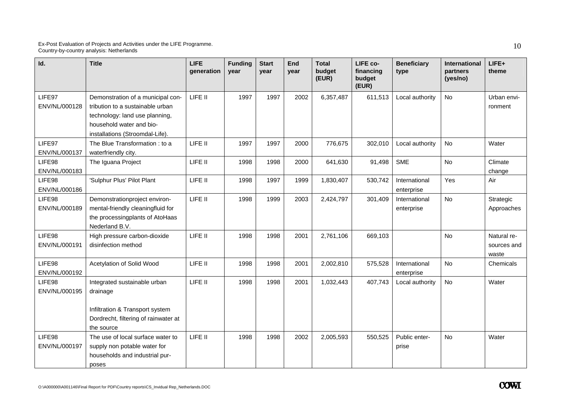| Id.                     | <b>Title</b>                                                                                                                                                           | LIFE<br>generation | <b>Funding</b><br>year | <b>Start</b><br>year | End<br>year | <b>Total</b><br>budget<br>(EUR) | LIFE co-<br>financing<br>budget<br>(EUR) | <b>Beneficiary</b><br>type  | International<br>partners<br>(yes/no) | LIFE+<br>theme                      |
|-------------------------|------------------------------------------------------------------------------------------------------------------------------------------------------------------------|--------------------|------------------------|----------------------|-------------|---------------------------------|------------------------------------------|-----------------------------|---------------------------------------|-------------------------------------|
| LIFE97<br>ENV/NL/000128 | Demonstration of a municipal con-<br>tribution to a sustainable urban<br>technology: land use planning,<br>household water and bio-<br>installations (Stroomdal-Life). | LIFE II            | 1997                   | 1997                 | 2002        | 6,357,487                       | 611,513                                  | Local authority             | No                                    | Urban envi-<br>ronment              |
| LIFE97<br>ENV/NL/000137 | The Blue Transformation: to a<br>waterfriendly city.                                                                                                                   | LIFE II            | 1997                   | 1997                 | 2000        | 776,675                         | 302,010                                  | Local authority             | <b>No</b>                             | Water                               |
| LIFE98<br>ENV/NL/000183 | The Iguana Project                                                                                                                                                     | LIFE II            | 1998                   | 1998                 | 2000        | 641,630                         | 91,498                                   | <b>SME</b>                  | No                                    | Climate<br>change                   |
| LIFE98<br>ENV/NL/000186 | 'Sulphur Plus' Pilot Plant                                                                                                                                             | LIFE II            | 1998                   | 1997                 | 1999        | 1,830,407                       | 530,742                                  | International<br>enterprise | Yes                                   | Air                                 |
| LIFE98<br>ENV/NL/000189 | Demonstrationproject environ-<br>mental-friendly cleaningfluid for<br>the processingplants of AtoHaas<br>Nederland B.V.                                                | LIFE II            | 1998                   | 1999                 | 2003        | 2,424,797                       | 301,409                                  | International<br>enterprise | <b>No</b>                             | Strategic<br>Approaches             |
| LIFE98<br>ENV/NL/000191 | High pressure carbon-dioxide<br>disinfection method                                                                                                                    | LIFE II            | 1998                   | 1998                 | 2001        | 2,761,106                       | 669,103                                  |                             | No                                    | Natural re-<br>sources and<br>waste |
| LIFE98<br>ENV/NL/000192 | Acetylation of Solid Wood                                                                                                                                              | LIFE II            | 1998                   | 1998                 | 2001        | 2,002,810                       | 575,528                                  | International<br>enterprise | No                                    | Chemicals                           |
| LIFE98<br>ENV/NL/000195 | Integrated sustainable urban<br>drainage<br>Infiltration & Transport system<br>Dordrecht, filtering of rainwater at<br>the source                                      | LIFE II            | 1998                   | 1998                 | 2001        | 1,032,443                       | 407,743                                  | Local authority             | <b>No</b>                             | Water                               |
| LIFE98<br>ENV/NL/000197 | The use of local surface water to<br>supply non potable water for<br>households and industrial pur-<br>poses                                                           | LIFE II            | 1998                   | 1998                 | 2002        | 2,005,593                       | 550,525                                  | Public enter-<br>prise      | <b>No</b>                             | Water                               |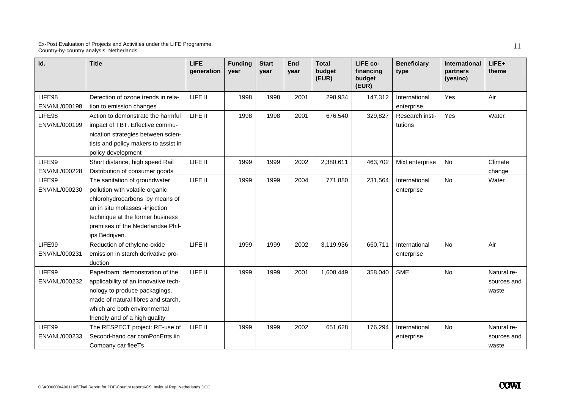| Id.                     | <b>Title</b>                                                                                                                                                                                                                    | <b>LIFE</b><br>generation | <b>Funding</b><br>year | <b>Start</b><br>year | End<br>year | <b>Total</b><br>budget<br>(EUR) | LIFE co-<br>financing<br>budget<br>(EUR) | <b>Beneficiary</b><br>type  | <b>International</b><br>partners<br>(yes/no) | $LIFE+$<br>theme                    |
|-------------------------|---------------------------------------------------------------------------------------------------------------------------------------------------------------------------------------------------------------------------------|---------------------------|------------------------|----------------------|-------------|---------------------------------|------------------------------------------|-----------------------------|----------------------------------------------|-------------------------------------|
| LIFE98<br>ENV/NL/000198 | Detection of ozone trends in rela-<br>tion to emission changes                                                                                                                                                                  | LIFE II                   | 1998                   | 1998                 | 2001        | 298,934                         | 147,312                                  | International<br>enterprise | Yes                                          | Air                                 |
| LIFE98<br>ENV/NL/000199 | Action to demonstrate the harmful<br>impact of TBT. Effective commu-<br>nication strategies between scien-<br>tists and policy makers to assist in<br>policy development                                                        | LIFE II                   | 1998                   | 1998                 | 2001        | 676,540                         | 329,827                                  | Research insti-<br>tutions  | Yes                                          | Water                               |
| LIFE99<br>ENV/NL/000228 | Short distance, high speed Rail<br>Distribution of consumer goods                                                                                                                                                               | LIFE II                   | 1999                   | 1999                 | 2002        | 2,380,611                       | 463,702                                  | Mixt enterprise             | <b>No</b>                                    | Climate<br>change                   |
| LIFE99<br>ENV/NL/000230 | The sanitation of groundwater<br>pollution with volatile organic<br>chlorohydrocarbons by means of<br>an in situ molasses -injection<br>technique at the former business<br>premises of the Nederlandse Phil-<br>ips Bedrijven. | LIFE II                   | 1999                   | 1999                 | 2004        | 771,880                         | 231,564                                  | International<br>enterprise | No                                           | Water                               |
| LIFE99<br>ENV/NL/000231 | Reduction of ethylene-oxide<br>emission in starch derivative pro-<br>duction                                                                                                                                                    | LIFE II                   | 1999                   | 1999                 | 2002        | 3,119,936                       | 660,711                                  | International<br>enterprise | No                                           | Air                                 |
| LIFE99<br>ENV/NL/000232 | Paperfoam: demonstration of the<br>applicability of an innovative tech-<br>nology to produce packagings,<br>made of natural fibres and starch,<br>which are both environmental<br>friendly and of a high quality                | LIFE II                   | 1999                   | 1999                 | 2001        | 1,608,449                       | 358,040                                  | <b>SME</b>                  | <b>No</b>                                    | Natural re-<br>sources and<br>waste |
| LIFE99<br>ENV/NL/000233 | The RESPECT project: RE-use of<br>Second-hand car comPonEnts iin<br>Company car fleeTs                                                                                                                                          | LIFE II                   | 1999                   | 1999                 | 2002        | 651,628                         | 176,294                                  | International<br>enterprise | <b>No</b>                                    | Natural re-<br>sources and<br>waste |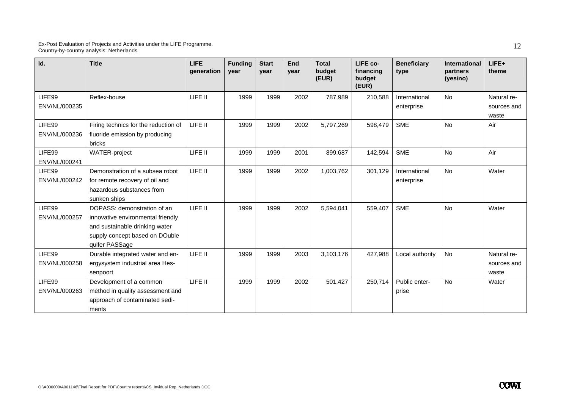| Id.                     | <b>Title</b>                                                                                                                                           | <b>LIFE</b><br>generation | <b>Funding</b><br>vear | <b>Start</b><br>year | End<br>year | <b>Total</b><br>budget<br>(EUR) | LIFE co-<br>financing<br>budget<br>(EUR) | <b>Beneficiary</b><br>type  | <b>International</b><br>partners<br>(yes/no) | LIFE+<br>theme                      |
|-------------------------|--------------------------------------------------------------------------------------------------------------------------------------------------------|---------------------------|------------------------|----------------------|-------------|---------------------------------|------------------------------------------|-----------------------------|----------------------------------------------|-------------------------------------|
| LIFE99<br>ENV/NL/000235 | Reflex-house                                                                                                                                           | LIFE II                   | 1999                   | 1999                 | 2002        | 787,989                         | 210,588                                  | International<br>enterprise | <b>No</b>                                    | Natural re-<br>sources and<br>waste |
| LIFE99<br>ENV/NL/000236 | Firing technics for the reduction of<br>fluoride emission by producing<br>bricks                                                                       | LIFE II                   | 1999                   | 1999                 | 2002        | 5,797,269                       | 598,479                                  | <b>SME</b>                  | <b>No</b>                                    | Air                                 |
| LIFE99<br>ENV/NL/000241 | WATER-project                                                                                                                                          | LIFE II                   | 1999                   | 1999                 | 2001        | 899,687                         | 142,594                                  | <b>SME</b>                  | <b>No</b>                                    | Air                                 |
| LIFE99<br>ENV/NL/000242 | Demonstration of a subsea robot<br>for remote recovery of oil and<br>hazardous substances from<br>sunken ships                                         | LIFE II                   | 1999                   | 1999                 | 2002        | 1,003,762                       | 301,129                                  | International<br>enterprise | No                                           | Water                               |
| LIFE99<br>ENV/NL/000257 | DOPASS: demonstration of an<br>innovative environmental friendly<br>and sustainable drinking water<br>supply concept based on DOuble<br>quifer PASSage | LIFE II                   | 1999                   | 1999                 | 2002        | 5,594,041                       | 559,407                                  | <b>SME</b>                  | <b>No</b>                                    | Water                               |
| LIFE99<br>ENV/NL/000258 | Durable integrated water and en-<br>ergysystem industrial area Hes-<br>senpoort                                                                        | LIFE II                   | 1999                   | 1999                 | 2003        | 3,103,176                       | 427,988                                  | Local authority             | No                                           | Natural re-<br>sources and<br>waste |
| LIFE99<br>ENV/NL/000263 | Development of a common<br>method in quality assessment and<br>approach of contaminated sedi-<br>ments                                                 | LIFE II                   | 1999                   | 1999                 | 2002        | 501,427                         | 250,714                                  | Public enter-<br>prise      | <b>No</b>                                    | Water                               |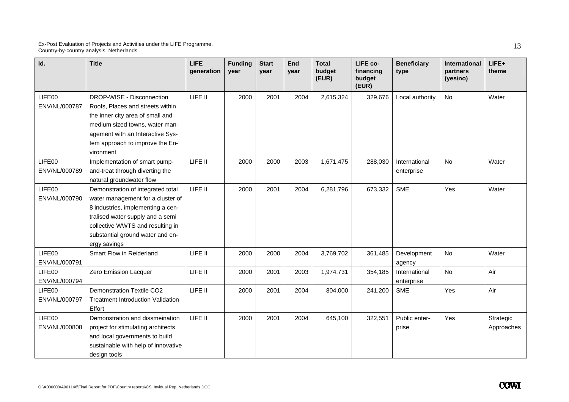| Id.                     | <b>Title</b>                                                                                                                                                                                                                            | <b>LIFE</b><br>generation | <b>Funding</b><br>year | <b>Start</b><br>vear | <b>End</b><br>vear | <b>Total</b><br>budget<br>(EUR) | LIFE co-<br>financing<br>budget<br>(EUR) | <b>Beneficiary</b><br>type  | International<br>partners<br>(yes/no) | LIFE+<br>theme          |
|-------------------------|-----------------------------------------------------------------------------------------------------------------------------------------------------------------------------------------------------------------------------------------|---------------------------|------------------------|----------------------|--------------------|---------------------------------|------------------------------------------|-----------------------------|---------------------------------------|-------------------------|
| LIFE00<br>ENV/NL/000787 | DROP-WISE - Disconnection<br>Roofs, Places and streets within<br>the inner city area of small and<br>medium sized towns, water man-<br>agement with an Interactive Sys-<br>tem approach to improve the En-<br>vironment                 | LIFE II                   | 2000                   | 2001                 | 2004               | 2,615,324                       | 329,676                                  | Local authority             | No                                    | Water                   |
| LIFE00<br>ENV/NL/000789 | Implementation of smart pump-<br>and-treat through diverting the<br>natural groundwater flow                                                                                                                                            | LIFE II                   | 2000                   | 2000                 | 2003               | 1,671,475                       | 288,030                                  | International<br>enterprise | <b>No</b>                             | Water                   |
| LIFE00<br>ENV/NL/000790 | Demonstration of integrated total<br>water management for a cluster of<br>8 industries, implementing a cen-<br>tralised water supply and a semi<br>collective WWTS and resulting in<br>substantial ground water and en-<br>ergy savings | LIFE II                   | 2000                   | 2001                 | 2004               | 6,281,796                       | 673,332                                  | <b>SME</b>                  | Yes                                   | Water                   |
| LIFE00<br>ENV/NL/000791 | Smart Flow in Reiderland                                                                                                                                                                                                                | LIFE II                   | 2000                   | 2000                 | 2004               | 3,769,702                       | 361,485                                  | Development<br>agency       | <b>No</b>                             | Water                   |
| LIFE00<br>ENV/NL/000794 | Zero Emission Lacquer                                                                                                                                                                                                                   | LIFE II                   | 2000                   | 2001                 | 2003               | 1,974,731                       | 354,185                                  | International<br>enterprise | <b>No</b>                             | Air                     |
| LIFE00<br>ENV/NL/000797 | <b>Demonstration Textile CO2</b><br><b>Treatment Introduction Validation</b><br>Effort                                                                                                                                                  | LIFE II                   | 2000                   | 2001                 | 2004               | 804,000                         | 241,200                                  | <b>SME</b>                  | Yes                                   | Air                     |
| LIFE00<br>ENV/NL/000808 | Demonstration and dissmeination<br>project for stimulating architects<br>and local governments to build<br>sustainable with help of innovative<br>design tools                                                                          | LIFE II                   | 2000                   | 2001                 | 2004               | 645,100                         | 322,551                                  | Public enter-<br>prise      | Yes                                   | Strategic<br>Approaches |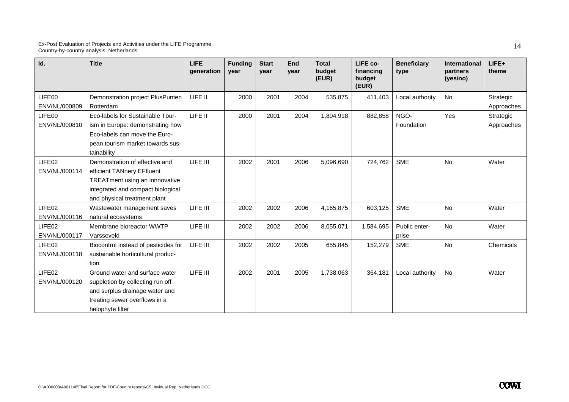| Id.                                 | <b>Title</b>                                                                                                                                                        | <b>LIFE</b><br>generation | <b>Funding</b><br>vear | <b>Start</b><br>vear | End<br>year | <b>Total</b><br>budget<br>(EUR) | LIFE co-<br>financing<br>budget<br>(EUR) | <b>Beneficiary</b><br>type | <b>International</b><br>partners<br>(yes/no) | LIFE+<br>theme          |
|-------------------------------------|---------------------------------------------------------------------------------------------------------------------------------------------------------------------|---------------------------|------------------------|----------------------|-------------|---------------------------------|------------------------------------------|----------------------------|----------------------------------------------|-------------------------|
| LIFE00<br>ENV/NL/000809             | Demonstration project PlusPunten<br>Rotterdam                                                                                                                       | LIFE II                   | 2000                   | 2001                 | 2004        | 535,875                         | 411,403                                  | Local authority            | No                                           | Strategic<br>Approaches |
| LIFE00<br>ENV/NL/000810             | Eco-labels for Sustainable Tour-<br>ism in Europe: demonstrating how<br>Eco-labels can move the Euro-<br>pean tourism market towards sus-<br>tainability            | LIFE II                   | 2000                   | 2001                 | 2004        | 1,804,918                       | 882,858                                  | NGO-<br>Foundation         | Yes                                          | Strategic<br>Approaches |
| LIFE02<br>ENV/NL/000114             | Demonstration of effective and<br>efficient TANnery EFfluent<br>TREATment using an innnovative<br>integrated and compact biological<br>and physical treatment plant | LIFE III                  | 2002                   | 2001                 | 2006        | 5,096,690                       | 724,762                                  | <b>SME</b>                 | No                                           | Water                   |
| LIFE02<br>ENV/NL/000116             | Wastewater management saves<br>natural ecosystems                                                                                                                   | LIFE III                  | 2002                   | 2002                 | 2006        | 4,165,875                       | 603,125                                  | <b>SME</b>                 | <b>No</b>                                    | Water                   |
| LIFE <sub>02</sub><br>ENV/NL/000117 | Membrane bioreactor WWTP<br>Varsseveld                                                                                                                              | LIFE III                  | 2002                   | 2002                 | 2006        | 8,055,071                       | 1,584,695                                | Public enter-<br>prise     | No                                           | Water                   |
| LIFE02<br>ENV/NL/000118             | Biocontrol instead of pesticides for<br>sustainable horticultural produc-<br>tion                                                                                   | LIFE III                  | 2002                   | 2002                 | 2005        | 655,845                         | 152,279                                  | <b>SME</b>                 | <b>No</b>                                    | Chemicals               |
| LIFE02<br>ENV/NL/000120             | Ground water and surface water<br>suppletion by collecting run off<br>and surplus drainage water and<br>treating sewer overflows in a<br>helophyte filter           | LIFE III                  | 2002                   | 2001                 | 2005        | 1,738,063                       | 364,181                                  | Local authority            | <b>No</b>                                    | Water                   |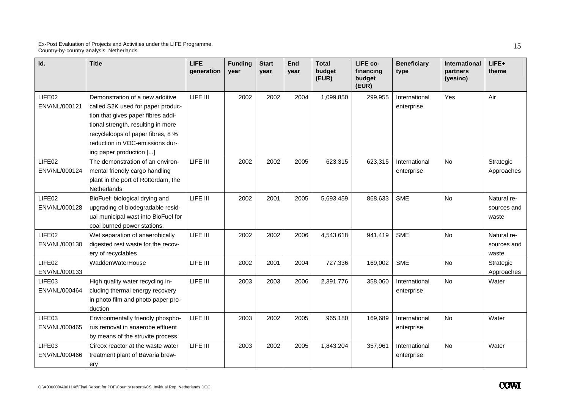| Id.                                 | <b>Title</b>                                                                                                                                                                                                                                        | <b>LIFE</b><br>qeneration | <b>Funding</b><br>year | <b>Start</b><br>vear | End<br>year | <b>Total</b><br>budget<br>(EUR) | LIFE co-<br>financing<br>budget<br>(EUR) | <b>Beneficiary</b><br>type  | International<br>partners<br>(yes/no) | LIFE+<br>theme                      |
|-------------------------------------|-----------------------------------------------------------------------------------------------------------------------------------------------------------------------------------------------------------------------------------------------------|---------------------------|------------------------|----------------------|-------------|---------------------------------|------------------------------------------|-----------------------------|---------------------------------------|-------------------------------------|
| LIFE02<br>ENV/NL/000121             | Demonstration of a new additive<br>called S2K used for paper produc-<br>tion that gives paper fibres addi-<br>tional strength, resulting in more<br>recycleloops of paper fibres, 8 %<br>reduction in VOC-emissions dur-<br>ing paper production [] | LIFE III                  | 2002                   | 2002                 | 2004        | 1,099,850                       | 299,955                                  | International<br>enterprise | Yes                                   | Air                                 |
| LIFE02<br>ENV/NL/000124             | The demonstration of an environ-<br>mental friendly cargo handling<br>plant in the port of Rotterdam, the<br><b>Netherlands</b>                                                                                                                     | LIFE III                  | 2002                   | 2002                 | 2005        | 623,315                         | 623,315                                  | International<br>enterprise | <b>No</b>                             | Strategic<br>Approaches             |
| LIFE02<br>ENV/NL/000128             | BioFuel: biological drying and<br>upgrading of biodegradable resid-<br>ual municipal wast into BioFuel for<br>coal burned power stations.                                                                                                           | LIFE III                  | 2002                   | 2001                 | 2005        | 5,693,459                       | 868,633                                  | <b>SME</b>                  | <b>No</b>                             | Natural re-<br>sources and<br>waste |
| LIFE02<br>ENV/NL/000130             | Wet separation of anaerobically<br>digested rest waste for the recov-<br>ery of recyclables                                                                                                                                                         | LIFE III                  | 2002                   | 2002                 | 2006        | 4,543,618                       | 941,419                                  | <b>SME</b>                  | No                                    | Natural re-<br>sources and<br>waste |
| LIFE <sub>02</sub><br>ENV/NL/000133 | WaddenWaterHouse                                                                                                                                                                                                                                    | LIFE III                  | 2002                   | 2001                 | 2004        | 727,336                         | 169,002                                  | SME                         | <b>No</b>                             | Strategic<br>Approaches             |
| LIFE03<br>ENV/NL/000464             | High quality water recycling in-<br>cluding thermal energy recovery<br>in photo film and photo paper pro-<br>duction                                                                                                                                | LIFE III                  | 2003                   | 2003                 | 2006        | 2,391,776                       | 358,060                                  | International<br>enterprise | <b>No</b>                             | Water                               |
| LIFE03<br>ENV/NL/000465             | Environmentally friendly phospho-<br>rus removal in anaerobe effluent<br>by means of the struvite process                                                                                                                                           | LIFE III                  | 2003                   | 2002                 | 2005        | 965,180                         | 169,689                                  | International<br>enterprise | No                                    | Water                               |
| LIFE03<br>ENV/NL/000466             | Circox reactor at the waste water<br>treatment plant of Bavaria brew-<br>ery                                                                                                                                                                        | LIFE III                  | 2003                   | 2002                 | 2005        | 1,843,204                       | 357,961                                  | International<br>enterprise | <b>No</b>                             | Water                               |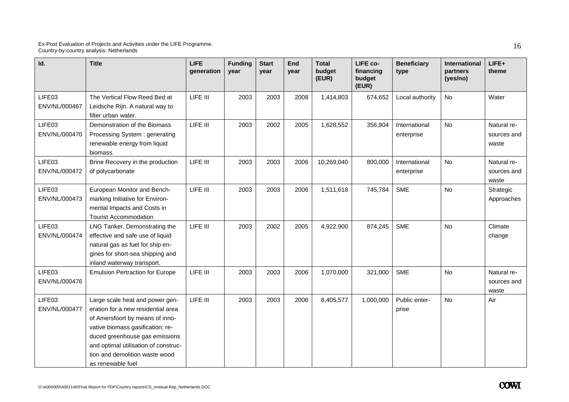| Id.                     | <b>Title</b>                                                                                                                                                                                                                                                                  | <b>LIFE</b><br>generation | <b>Funding</b><br>year | <b>Start</b><br>vear | End<br>year | <b>Total</b><br>budget<br>(EUR) | LIFE co-<br>financing<br>budget<br>(EUR) | <b>Beneficiary</b><br>type  | International<br>partners<br>(yes/no) | LIFE+<br>theme                      |
|-------------------------|-------------------------------------------------------------------------------------------------------------------------------------------------------------------------------------------------------------------------------------------------------------------------------|---------------------------|------------------------|----------------------|-------------|---------------------------------|------------------------------------------|-----------------------------|---------------------------------------|-------------------------------------|
| LIFE03<br>ENV/NL/000467 | The Vertical Flow Reed Bed at<br>Leidsche Rijn. A natural way to<br>filter urban water.                                                                                                                                                                                       | LIFE III                  | 2003                   | 2003                 | 2008        | 1,414,803                       | 674,652                                  | Local authority             | <b>No</b>                             | Water                               |
| LIFE03<br>ENV/NL/000470 | Demonstration of the Biomass<br>Processing System: generating<br>renewable energy from liquid<br>biomass.                                                                                                                                                                     | LIFE III                  | 2003                   | 2002                 | 2005        | 1,628,552                       | 356,904                                  | International<br>enterprise | <b>No</b>                             | Natural re-<br>sources and<br>waste |
| LIFE03<br>ENV/NL/000472 | Brine Recovery in the production<br>of polycarbonate                                                                                                                                                                                                                          | LIFE III                  | 2003                   | 2003                 | 2006        | 10,269,040                      | 800,000                                  | International<br>enterprise | <b>No</b>                             | Natural re-<br>sources and<br>waste |
| LIFE03<br>ENV/NL/000473 | European Monitor and Bench-<br>marking Initiative for Environ-<br>mental Impacts and Costs in<br><b>Tourist Accommodation</b>                                                                                                                                                 | LIFE III                  | 2003                   | 2003                 | 2006        | 1,511,618                       | 745,784                                  | <b>SME</b>                  | <b>No</b>                             | Strategic<br>Approaches             |
| LIFE03<br>ENV/NL/000474 | LNG Tanker, Demonstrating the<br>effective and safe use of liquid<br>natural gas as fuel for ship en-<br>gines for short-sea shipping and<br>inland waterway transport.                                                                                                       | LIFE III                  | 2003                   | 2002                 | 2005        | 4,922,900                       | 874,245                                  | <b>SME</b>                  | <b>No</b>                             | Climate<br>change                   |
| LIFE03<br>ENV/NL/000476 | <b>Emulsion Pertraction for Europe</b>                                                                                                                                                                                                                                        | LIFE III                  | 2003                   | 2003                 | 2006        | 1,070,000                       | 321,000                                  | <b>SME</b>                  | <b>No</b>                             | Natural re-<br>sources and<br>waste |
| LIFE03<br>ENV/NL/000477 | Large scale heat and power gen-<br>eration for a new residential area<br>of Amersfoort by means of inno-<br>vative biomass gasification; re-<br>duced greenhouse gas emissions<br>and optimal utilisation of construc-<br>tion and demolition waste wood<br>as renewable fuel | LIFE III                  | 2003                   | 2003                 | 2006        | 8,405,577                       | 1,000,000                                | Public enter-<br>prise      | <b>No</b>                             | Air                                 |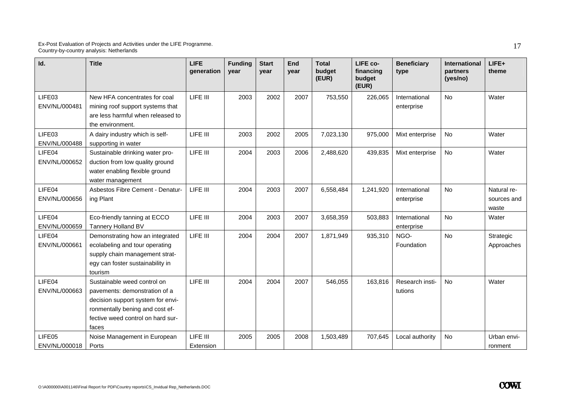| Id.                     | <b>Title</b>                                                                                                                                                                       | <b>LIFE</b><br>qeneration | <b>Funding</b><br>vear | <b>Start</b><br>vear | End<br>vear | <b>Total</b><br>budget<br>(EUR) | LIFE co-<br>financing<br>budget<br>(EUR) | <b>Beneficiary</b><br>type  | <b>International</b><br>partners<br>(yes/no) | $LIFE+$<br>theme                    |
|-------------------------|------------------------------------------------------------------------------------------------------------------------------------------------------------------------------------|---------------------------|------------------------|----------------------|-------------|---------------------------------|------------------------------------------|-----------------------------|----------------------------------------------|-------------------------------------|
| LIFE03<br>ENV/NL/000481 | New HFA concentrates for coal<br>mining roof support systems that<br>are less harmful when released to<br>the environment.                                                         | LIFE III                  | 2003                   | 2002                 | 2007        | 753,550                         | 226,065                                  | International<br>enterprise | No                                           | Water                               |
| LIFE03<br>ENV/NL/000488 | A dairy industry which is self-<br>supporting in water                                                                                                                             | LIFE III                  | 2003                   | 2002                 | 2005        | 7,023,130                       | 975,000                                  | Mixt enterprise             | <b>No</b>                                    | Water                               |
| LIFE04<br>ENV/NL/000652 | Sustainable drinking water pro-<br>duction from low quality ground<br>water enabling flexible ground<br>water management                                                           | LIFE III                  | 2004                   | 2003                 | 2006        | 2,488,620                       | 439,835                                  | Mixt enterprise             | No                                           | Water                               |
| LIFE04<br>ENV/NL/000656 | Asbestos Fibre Cement - Denatur-<br>ing Plant                                                                                                                                      | LIFE III                  | 2004                   | 2003                 | 2007        | 6,558,484                       | 1,241,920                                | International<br>enterprise | <b>No</b>                                    | Natural re-<br>sources and<br>waste |
| LIFE04<br>ENV/NL/000659 | Eco-friendly tanning at ECCO<br>Tannery Holland BV                                                                                                                                 | LIFE III                  | 2004                   | 2003                 | 2007        | 3,658,359                       | 503,883                                  | International<br>enterprise | No                                           | Water                               |
| LIFE04<br>ENV/NL/000661 | Demonstrating how an integrated<br>ecolabeling and tour operating<br>supply chain management strat-<br>egy can foster sustainability in<br>tourism                                 | LIFE III                  | 2004                   | 2004                 | 2007        | 1,871,949                       | 935,310                                  | NGO-<br>Foundation          | <b>No</b>                                    | Strategic<br>Approaches             |
| LIFE04<br>ENV/NL/000663 | Sustainable weed control on<br>pavements: demonstration of a<br>decision support system for envi-<br>ronmentally bening and cost ef-<br>fective weed control on hard sur-<br>faces | LIFE III                  | 2004                   | 2004                 | 2007        | 546,055                         | 163,816                                  | Research insti-<br>tutions  | <b>No</b>                                    | Water                               |
| LIFE05<br>ENV/NL/000018 | Noise Management in European<br>Ports                                                                                                                                              | LIFE III<br>Extension     | 2005                   | 2005                 | 2008        | 1,503,489                       | 707,645                                  | Local authority             | <b>No</b>                                    | Urban envi-<br>ronment              |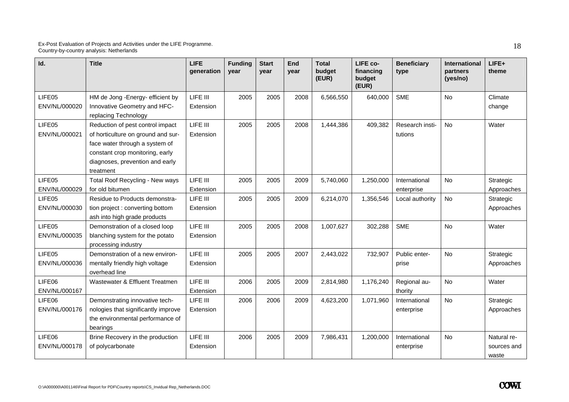| Id.                     | <b>Title</b>                                                                                                                                                                                | <b>LIFE</b><br>generation | <b>Funding</b><br>year | <b>Start</b><br>year | End<br>year | <b>Total</b><br>budget<br>(EUR) | LIFE co-<br>financing<br>budget<br>(EUR) | <b>Beneficiary</b><br>type  | <b>International</b><br>partners<br>(yes/no) | $LIFE+$<br>theme                    |
|-------------------------|---------------------------------------------------------------------------------------------------------------------------------------------------------------------------------------------|---------------------------|------------------------|----------------------|-------------|---------------------------------|------------------------------------------|-----------------------------|----------------------------------------------|-------------------------------------|
| LIFE05<br>ENV/NL/000020 | HM de Jong -Energy- efficient by<br>Innovative Geometry and HFC-<br>replacing Technology                                                                                                    | LIFE III<br>Extension     | 2005                   | 2005                 | 2008        | 6,566,550                       | 640,000                                  | <b>SME</b>                  | No                                           | Climate<br>change                   |
| LIFE05<br>ENV/NL/000021 | Reduction of pest control impact<br>of horticulture on ground and sur-<br>face water through a system of<br>constant crop monitoring, early<br>diagnoses, prevention and early<br>treatment | LIFE III<br>Extension     | 2005                   | 2005                 | 2008        | 1,444,386                       | 409,382                                  | Research insti-<br>tutions  | No.                                          | Water                               |
| LIFE05<br>ENV/NL/000029 | Total Roof Recycling - New ways<br>for old bitumen                                                                                                                                          | LIFE III<br>Extension     | 2005                   | 2005                 | 2009        | 5,740,060                       | 1,250,000                                | International<br>enterprise | No                                           | Strategic<br>Approaches             |
| LIFE05<br>ENV/NL/000030 | Residue to Products demonstra-<br>tion project: converting bottom<br>ash into high grade products                                                                                           | LIFE III<br>Extension     | 2005                   | 2005                 | 2009        | 6,214,070                       | 1,356,546                                | Local authority             | No                                           | Strategic<br>Approaches             |
| LIFE05<br>ENV/NL/000035 | Demonstration of a closed loop<br>blanching system for the potato<br>processing industry                                                                                                    | LIFE III<br>Extension     | 2005                   | 2005                 | 2008        | 1,007,627                       | 302,288                                  | <b>SME</b>                  | No.                                          | Water                               |
| LIFE05<br>ENV/NL/000036 | Demonstration of a new environ-<br>mentally friendly high voltage<br>overhead line                                                                                                          | LIFE III<br>Extension     | 2005                   | 2005                 | 2007        | 2,443,022                       | 732,907                                  | Public enter-<br>prise      | <b>No</b>                                    | Strategic<br>Approaches             |
| LIFE06<br>ENV/NL/000167 | Wastewater & Effluent Treatmen                                                                                                                                                              | LIFE III<br>Extension     | 2006                   | 2005                 | 2009        | 2,814,980                       | 1,176,240                                | Regional au-<br>thority     | No                                           | Water                               |
| LIFE06<br>ENV/NL/000176 | Demonstrating innovative tech-<br>nologies that significantly improve<br>the environmental performance of<br>bearings                                                                       | LIFE III<br>Extension     | 2006                   | 2006                 | 2009        | 4,623,200                       | 1,071,960                                | International<br>enterprise | <b>No</b>                                    | Strategic<br>Approaches             |
| LIFE06<br>ENV/NL/000178 | Brine Recovery in the production<br>of polycarbonate                                                                                                                                        | LIFE III<br>Extension     | 2006                   | 2005                 | 2009        | 7,986,431                       | 1,200,000                                | International<br>enterprise | <b>No</b>                                    | Natural re-<br>sources and<br>waste |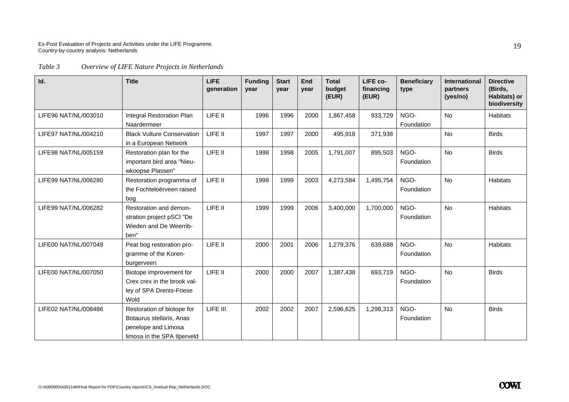*Table 3 Overview of LIFE Nature Projects in Netherlands* 

| Id.                  | <b>Title</b>                                                                                                 | <b>LIFE</b><br>generation | <b>Funding</b><br>year | <b>Start</b><br>year | End<br>year | <b>Total</b><br>budget<br>(EUR) | LIFE co-<br>financing<br>(EUR) | <b>Beneficiary</b><br>type | <b>International</b><br>partners<br>(yes/no) | <b>Directive</b><br>(Birds,<br>Habitats) or<br>biodiversity |
|----------------------|--------------------------------------------------------------------------------------------------------------|---------------------------|------------------------|----------------------|-------------|---------------------------------|--------------------------------|----------------------------|----------------------------------------------|-------------------------------------------------------------|
| LIFE96 NAT/NL/003010 | Integral Restoration Plan<br>Naardermeer                                                                     | LIFE II                   | 1996                   | 1996                 | 2000        | 1,867,458                       | 933,729                        | NGO-<br>Foundation         | <b>No</b>                                    | <b>Habitats</b>                                             |
| LIFE97 NAT/NL/004210 | <b>Black Vulture Conservation</b><br>in a European Network                                                   | LIFE II                   | 1997                   | 1997                 | 2000        | 495,918                         | 371,938                        |                            | <b>No</b>                                    | <b>Birds</b>                                                |
| LIFE98 NAT/NL/005159 | Restoration plan for the<br>important bird area "Nieu-<br>wkoopse Plassen"                                   | LIFE II                   | 1998                   | 1998                 | 2005        | 1,791,007                       | 895,503                        | NGO-<br>Foundation         | <b>No</b>                                    | <b>Birds</b>                                                |
| LIFE99 NAT/NL/006280 | Restoration programma of<br>the Fochteloërveen raised<br>bog                                                 | LIFE II                   | 1999                   | 1999                 | 2003        | 4,273,584                       | 1,495,754                      | NGO-<br>Foundation         | <b>No</b>                                    | <b>Habitats</b>                                             |
| LIFE99 NAT/NL/006282 | Restoration and demon-<br>stration project pSCI "De<br>Wieden and De Weerrib-<br>ben"                        | LIFE II                   | 1999                   | 1999                 | 2006        | 3,400,000                       | 1,700,000                      | NGO-<br>Foundation         | No                                           | <b>Habitats</b>                                             |
| LIFE00 NAT/NL/007049 | Peat bog restoration pro-<br>gramme of the Koren-<br>burgerveen                                              | LIFE II                   | 2000                   | 2001                 | 2006        | 1,279,376                       | 639,688                        | NGO-<br>Foundation         | <b>No</b>                                    | <b>Habitats</b>                                             |
| LIFE00 NAT/NL/007050 | Biotope improvement for<br>Crex crex in the brook val-<br>ley of SPA Drents-Friese<br>Wold                   | LIFE II                   | 2000                   | 2000                 | 2007        | 1,387,438                       | 693,719                        | NGO-<br>Foundation         | <b>No</b>                                    | <b>Birds</b>                                                |
| LIFE02 NAT/NL/008486 | Restoration of biotope for<br>Botaurus stellaris, Anas<br>penelope and Limosa<br>limosa in the SPA Ilperveld | LIFE III                  | 2002                   | 2002                 | 2007        | 2,596,625                       | 1,298,313                      | NGO-<br>Foundation         | No                                           | <b>Birds</b>                                                |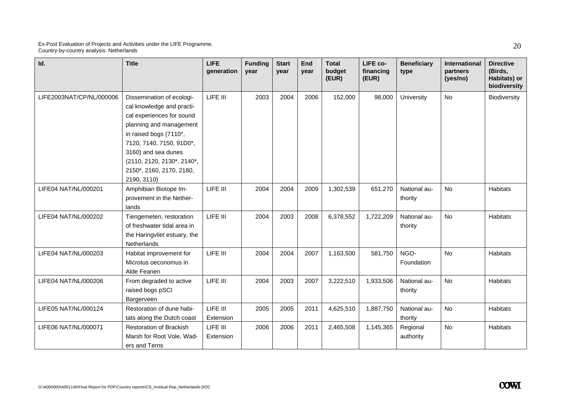| Id.                      | <b>Title</b>                                                                                                                                                                                                                                                         | <b>LIFE</b><br>generation | <b>Funding</b><br>vear | <b>Start</b><br>year | <b>End</b><br>year | <b>Total</b><br>budget<br>(EUR) | LIFE co-<br>financing<br>(EUR) | <b>Beneficiary</b><br>type | <b>International</b><br>partners<br>(yes/no) | <b>Directive</b><br>(Birds,<br>Habitats) or<br>biodiversity |
|--------------------------|----------------------------------------------------------------------------------------------------------------------------------------------------------------------------------------------------------------------------------------------------------------------|---------------------------|------------------------|----------------------|--------------------|---------------------------------|--------------------------------|----------------------------|----------------------------------------------|-------------------------------------------------------------|
| LIFE2003NAT/CP/NL/000006 | Dissemination of ecologi-<br>cal knowledge and practi-<br>cal experiences for sound<br>planning and management<br>in raised bogs (7110*,<br>7120, 7140, 7150, 91D0*,<br>3160) and sea dunes<br>(2110, 2120, 2130*, 2140*,<br>2150*, 2160, 2170, 2180,<br>2190, 3110) | LIFE III                  | 2003                   | 2004                 | 2006               | 152,000                         | 98,000                         | University                 | <b>No</b>                                    | Biodiversity                                                |
| LIFE04 NAT/NL/000201     | Amphibian Biotope Im-<br>provement in the Nether-<br>lands                                                                                                                                                                                                           | LIFE III                  | 2004                   | 2004                 | 2009               | 1,302,539                       | 651,270                        | National au-<br>thority    | <b>No</b>                                    | Habitats                                                    |
| LIFE04 NAT/NL/000202     | Tiengemeten, restoration<br>of freshwater tidal area in<br>the Haringvliet estuary, the<br>Netherlands                                                                                                                                                               | LIFE III                  | 2004                   | 2003                 | 2008               | 6,378,552                       | 1,722,209                      | National au-<br>thority    | <b>No</b>                                    | Habitats                                                    |
| LIFE04 NAT/NL/000203     | Habitat improvement for<br>Microtus oeconomus in<br>Alde Feanen                                                                                                                                                                                                      | LIFE III                  | 2004                   | 2004                 | 2007               | 1,163,500                       | 581,750                        | NGO-<br>Foundation         | <b>No</b>                                    | Habitats                                                    |
| LIFE04 NAT/NL/000206     | From degraded to active<br>raised bogs pSCI<br>Bargerveen                                                                                                                                                                                                            | LIFE III                  | 2004                   | 2003                 | 2007               | 3,222,510                       | 1,933,506                      | National au-<br>thority    | <b>No</b>                                    | Habitats                                                    |
| LIFE05 NAT/NL/000124     | Restoration of dune habi-<br>tats along the Dutch coast                                                                                                                                                                                                              | LIFE III<br>Extension     | 2005                   | 2005                 | 2011               | 4,625,510                       | 1,887,750                      | National au-<br>thority    | <b>No</b>                                    | Habitats                                                    |
| LIFE06 NAT/NL/000071     | <b>Restoration of Brackish</b><br>Marsh for Root Vole, Wad-<br>ers and Terns                                                                                                                                                                                         | LIFE III<br>Extension     | 2006                   | 2006                 | 2011               | 2,465,508                       | 1,145,365                      | Regional<br>authority      | No                                           | <b>Habitats</b>                                             |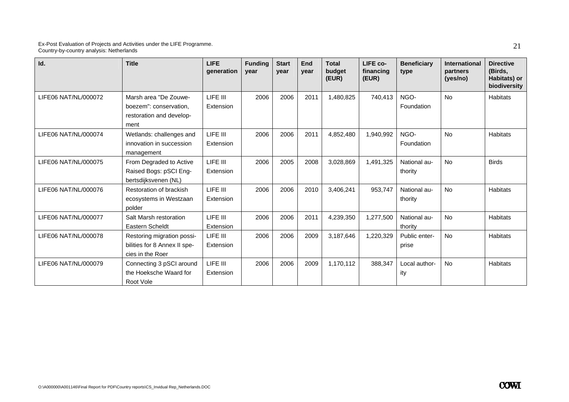| Id.                  | <b>Title</b>                                                                        | <b>LIFE</b><br>qeneration | <b>Funding</b><br>year | <b>Start</b><br>vear | <b>End</b><br>vear | <b>Total</b><br>budget<br>(EUR) | LIFE co-<br>financing<br>(EUR) | <b>Beneficiary</b><br>type | International<br>partners<br>(yes/no) | <b>Directive</b><br>(Birds,<br>Habitats) or<br>biodiversity |
|----------------------|-------------------------------------------------------------------------------------|---------------------------|------------------------|----------------------|--------------------|---------------------------------|--------------------------------|----------------------------|---------------------------------------|-------------------------------------------------------------|
| LIFE06 NAT/NL/000072 | Marsh area "De Zouwe-<br>boezem": conservation,<br>restoration and develop-<br>ment | LIFE III<br>Extension     | 2006                   | 2006                 | 2011               | 1,480,825                       | 740,413                        | NGO-<br>Foundation         | <b>No</b>                             | Habitats                                                    |
| LIFE06 NAT/NL/000074 | Wetlands: challenges and<br>innovation in succession<br>management                  | LIFE III<br>Extension     | 2006                   | 2006                 | 2011               | 4,852,480                       | 1,940,992                      | NGO-<br>Foundation         | <b>No</b>                             | <b>Habitats</b>                                             |
| LIFE06 NAT/NL/000075 | From Degraded to Active<br>Raised Bogs: pSCI Eng-<br>bertsdijksvenen (NL)           | LIFE III<br>Extension     | 2006                   | 2005                 | 2008               | 3,028,869                       | 1,491,325                      | National au-<br>thority    | <b>No</b>                             | <b>Birds</b>                                                |
| LIFE06 NAT/NL/000076 | Restoration of brackish<br>ecosystems in Westzaan<br>polder                         | LIFE III<br>Extension     | 2006                   | 2006                 | 2010               | 3,406,241                       | 953,747                        | National au-<br>thority    | <b>No</b>                             | Habitats                                                    |
| LIFE06 NAT/NL/000077 | Salt Marsh restoration<br><b>Eastern Scheldt</b>                                    | LIFE III<br>Extension     | 2006                   | 2006                 | 2011               | 4,239,350                       | 1,277,500                      | National au-<br>thority    | <b>No</b>                             | <b>Habitats</b>                                             |
| LIFE06 NAT/NL/000078 | Restoring migration possi-<br>bilities for 8 Annex II spe-<br>cies in the Roer      | LIFE III<br>Extension     | 2006                   | 2006                 | 2009               | 3,187,646                       | 1,220,329                      | Public enter-<br>prise     | <b>No</b>                             | Habitats                                                    |
| LIFE06 NAT/NL/000079 | Connecting 3 pSCI around<br>the Hoeksche Waard for<br>Root Vole                     | LIFE III<br>Extension     | 2006                   | 2006                 | 2009               | 1,170,112                       | 388,347                        | Local author-<br>ity       | <b>No</b>                             | <b>Habitats</b>                                             |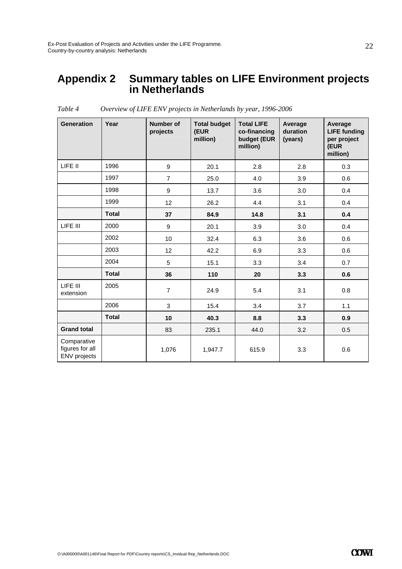### **Appendix 2 Summary tables on LIFE Environment projects in Netherlands**

| <b>Generation</b>                              | Year         | Number of<br>projects | <b>Total budget</b><br>(EUR<br>million) | <b>Total LIFE</b><br>co-financing<br>budget (EUR<br>million) | Average<br>duration<br>(years) | Average<br><b>LIFE funding</b><br>per project<br>(EUR<br>million) |
|------------------------------------------------|--------------|-----------------------|-----------------------------------------|--------------------------------------------------------------|--------------------------------|-------------------------------------------------------------------|
| LIFE II                                        | 1996         | 9                     | 20.1                                    | 2.8                                                          | 2.8                            | 0.3                                                               |
|                                                | 1997         | $\overline{7}$        | 25.0                                    | 4.0                                                          | 3.9                            | 0.6                                                               |
|                                                | 1998         | 9                     | 13.7                                    | 3.6                                                          | 3.0                            | 0.4                                                               |
|                                                | 1999         | 12                    | 26.2                                    | 4.4                                                          | 3.1                            | 0.4                                                               |
|                                                | <b>Total</b> | 37                    | 84.9                                    | 14.8                                                         | 3.1                            | 0.4                                                               |
| LIFE III                                       | 2000         | 9                     | 20.1                                    | 3.9                                                          | 3.0                            | 0.4                                                               |
|                                                | 2002         | 10 <sup>1</sup>       | 32.4                                    | 6.3                                                          | 3.6                            | 0.6                                                               |
|                                                | 2003         | 12                    | 42.2                                    | 6.9                                                          | 3.3                            | 0.6                                                               |
|                                                | 2004         | 5                     | 15.1                                    | 3.3                                                          | 3.4                            | 0.7                                                               |
|                                                | <b>Total</b> | 36                    | 110                                     | 20                                                           | 3.3                            | 0.6                                                               |
| LIFE III<br>extension                          | 2005         | $\overline{7}$        | 24.9                                    | 5.4                                                          | 3.1                            | 0.8                                                               |
|                                                | 2006         | 3                     | 15.4                                    | 3.4                                                          | 3.7                            | 1.1                                                               |
|                                                | <b>Total</b> | 10                    | 40.3                                    | 8.8                                                          | 3.3                            | 0.9                                                               |
| <b>Grand total</b>                             |              | 83                    | 235.1                                   | 44.0                                                         | 3.2                            | 0.5                                                               |
| Comparative<br>figures for all<br>ENV projects |              | 1,076                 | 1,947.7                                 | 615.9                                                        | 3.3                            | 0.6                                                               |

*Table 4 Overview of LIFE ENV projects in Netherlands by year, 1996-2006*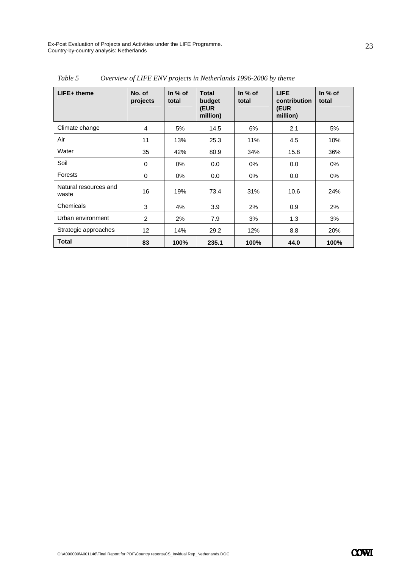| $LIFE+$ theme                  | No. of<br>projects | In $%$ of<br>total | <b>Total</b><br>budget<br>(EUR<br>million) | In $%$ of<br>total | <b>LIFE</b><br>contribution<br>(EUR<br>million) | In $%$ of<br>total |
|--------------------------------|--------------------|--------------------|--------------------------------------------|--------------------|-------------------------------------------------|--------------------|
| Climate change                 | 4                  | 5%                 | 14.5                                       | 6%                 | 2.1                                             | 5%                 |
| Air                            | 11                 | 13%                | 25.3                                       | 11%                | 4.5                                             | 10%                |
| Water                          | 35                 | 42%                | 80.9                                       | 34%                | 15.8                                            | 36%                |
| Soil                           | 0                  | $0\%$              | 0.0                                        | $0\%$              | 0.0                                             | $0\%$              |
| Forests                        | 0                  | $0\%$              | 0.0                                        | $0\%$              | 0.0                                             | 0%                 |
| Natural resources and<br>waste | 16                 | 19%                | 73.4                                       | 31%                | 10.6                                            | 24%                |
| Chemicals                      | 3                  | 4%                 | 3.9                                        | 2%                 | 0.9                                             | 2%                 |
| Urban environment              | 2                  | 2%                 | 7.9                                        | 3%                 | 1.3                                             | 3%                 |
| Strategic approaches           | $12 \overline{ }$  | 14%                | 29.2                                       | 12%                | 8.8                                             | 20%                |
| <b>Total</b>                   | 83                 | 100%               | 235.1                                      | 100%               | 44.0                                            | 100%               |

*Table 5 Overview of LIFE ENV projects in Netherlands 1996-2006 by theme*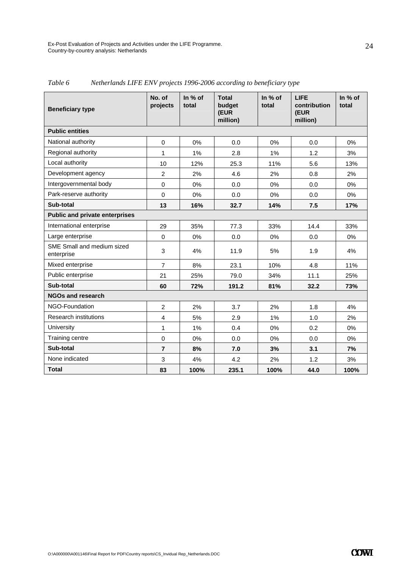| <b>Beneficiary type</b>                  | No. of<br>projects | In % of<br>total | <b>Total</b><br>budget<br>(EUR<br>million) | In % of<br>total | <b>LIFE</b><br>contribution<br>(EUR<br>million) | In % of<br>total |
|------------------------------------------|--------------------|------------------|--------------------------------------------|------------------|-------------------------------------------------|------------------|
| <b>Public entities</b>                   |                    |                  |                                            |                  |                                                 |                  |
| National authority                       | 0                  | 0%               | 0.0                                        | 0%               | 0.0                                             | 0%               |
| Regional authority                       | 1                  | 1%               | 2.8                                        | 1%               | 1.2                                             | 3%               |
| Local authority                          | 10                 | 12%              | 25.3                                       | 11%              | 5.6                                             | 13%              |
| Development agency                       | $\overline{2}$     | 2%               | 4.6                                        | 2%               | 0.8                                             | 2%               |
| Intergovernmental body                   | $\Omega$           | 0%               | 0.0                                        | $0\%$            | 0.0                                             | 0%               |
| Park-reserve authority                   | $\Omega$           | 0%               | 0.0                                        | 0%               | 0.0                                             | 0%               |
| Sub-total                                | 13                 | 16%              | 32.7                                       | 14%              | 7.5                                             | 17%              |
| <b>Public and private enterprises</b>    |                    |                  |                                            |                  |                                                 |                  |
| International enterprise                 | 29                 | 35%              | 77.3                                       | 33%              | 14.4                                            | 33%              |
| Large enterprise                         | $\mathbf 0$        | 0%               | 0.0                                        | 0%               | 0.0                                             | 0%               |
| SME Small and medium sized<br>enterprise | 3                  | 4%               | 11.9                                       | 5%               | 1.9                                             | 4%               |
| Mixed enterprise                         | $\overline{7}$     | 8%               | 23.1                                       | 10%              | 4.8                                             | 11%              |
| Public enterprise                        | 21                 | 25%              | 79.0                                       | 34%              | 11.1                                            | 25%              |
| Sub-total                                | 60                 | 72%              | 191.2                                      | 81%              | 32.2                                            | 73%              |
| <b>NGOs and research</b>                 |                    |                  |                                            |                  |                                                 |                  |
| NGO-Foundation                           | $\overline{c}$     | 2%               | 3.7                                        | 2%               | 1.8                                             | 4%               |
| <b>Research institutions</b>             | 4                  | 5%               | 2.9                                        | 1%               | 1.0                                             | 2%               |
| University                               | $\mathbf{1}$       | 1%               | 0.4                                        | 0%               | 0.2                                             | 0%               |
| Training centre                          | $\mathbf 0$        | 0%               | 0.0                                        | 0%               | 0.0                                             | 0%               |
| Sub-total                                | $\overline{7}$     | 8%               | 7.0                                        | 3%               | 3.1                                             | 7%               |
| None indicated                           | 3                  | 4%               | 4.2                                        | 2%               | 1.2                                             | 3%               |
| <b>Total</b>                             | 83                 | 100%             | 235.1                                      | 100%             | 44.0                                            | 100%             |

*Table 6 Netherlands LIFE ENV projects 1996-2006 according to beneficiary type*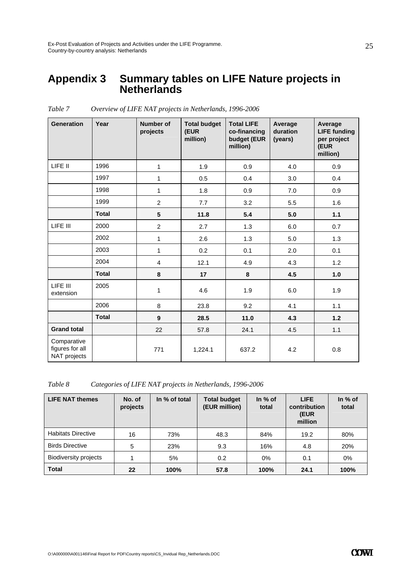### **Appendix 3 Summary tables on LIFE Nature projects in Netherlands**

| <b>Generation</b>                              | Year         | <b>Number of</b><br>projects | <b>Total budget</b><br>(EUR<br>million) | <b>Total LIFE</b><br>co-financing<br>budget (EUR<br>million) | Average<br>duration<br>(years) | Average<br><b>LIFE</b> funding<br>per project<br>(EUR<br>million) |
|------------------------------------------------|--------------|------------------------------|-----------------------------------------|--------------------------------------------------------------|--------------------------------|-------------------------------------------------------------------|
| LIFE II                                        | 1996         | 1                            | 1.9                                     | 0.9                                                          | 4.0                            | 0.9                                                               |
|                                                | 1997         | $\mathbf{1}$                 | 0.5                                     | 0.4                                                          | 3.0                            | 0.4                                                               |
|                                                | 1998         | $\mathbf{1}$                 | 1.8                                     | 0.9                                                          | 7.0                            | 0.9                                                               |
|                                                | 1999         | $\overline{c}$               | 7.7                                     | 3.2                                                          | 5.5                            | 1.6                                                               |
|                                                | <b>Total</b> | 5                            | 11.8                                    | 5.4                                                          | 5.0                            | 1.1                                                               |
| LIFE III                                       | 2000         | $\overline{c}$               | 2.7                                     | 1.3                                                          | 6.0                            | 0.7                                                               |
|                                                | 2002         | $\mathbf{1}$                 | 2.6                                     | 1.3                                                          | 5.0                            | 1.3                                                               |
|                                                | 2003         | $\mathbf{1}$                 | 0.2                                     | 0.1                                                          | 2.0                            | 0.1                                                               |
|                                                | 2004         | $\overline{4}$               | 12.1                                    | 4.9                                                          | 4.3                            | 1.2                                                               |
|                                                | <b>Total</b> | 8                            | 17                                      | 8                                                            | 4.5                            | 1.0                                                               |
| LIFE III<br>extension                          | 2005         | 1                            | 4.6                                     | 1.9                                                          | 6.0                            | 1.9                                                               |
|                                                | 2006         | $\,8\,$                      | 23.8                                    | 9.2                                                          | 4.1                            | 1.1                                                               |
|                                                | <b>Total</b> | $\boldsymbol{9}$             | 28.5                                    | 11.0                                                         | 4.3                            | $1.2$                                                             |
| <b>Grand total</b>                             |              | 22                           | 57.8                                    | 24.1                                                         | 4.5                            | 1.1                                                               |
| Comparative<br>figures for all<br>NAT projects |              | 771                          | 1,224.1                                 | 637.2                                                        | 4.2                            | 0.8                                                               |

*Table 7 Overview of LIFE NAT projects in Netherlands, 1996-2006* 

*Table 8 Categories of LIFE NAT projects in Netherlands, 1996-2006* 

| <b>LIFE NAT themes</b>       | No. of<br>projects | In % of total | <b>Total budget</b><br>(EUR million) | In $%$ of<br>total | <b>LIFE</b><br>contribution<br>(EUR<br>million | In $%$ of<br>total |
|------------------------------|--------------------|---------------|--------------------------------------|--------------------|------------------------------------------------|--------------------|
| <b>Habitats Directive</b>    | 16                 | 73%           | 48.3                                 | 84%                | 19.2                                           | 80%                |
| <b>Birds Directive</b>       | 5                  | 23%           | 9.3                                  | 16%                | 4.8                                            | 20%                |
| <b>Biodiversity projects</b> |                    | 5%            | 0.2                                  | 0%                 | 0.1                                            | $0\%$              |
| <b>Total</b>                 | 22                 | 100%          | 57.8                                 | 100%               | 24.1                                           | 100%               |